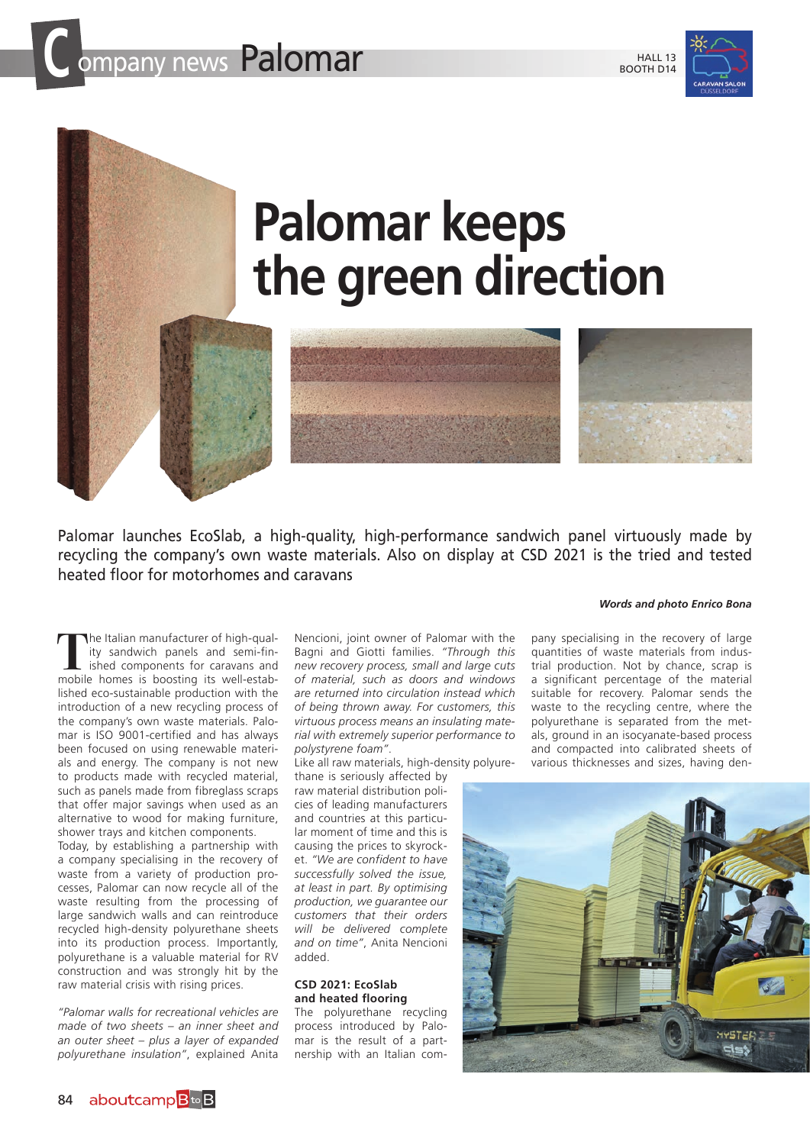

## **Palomar keeps the green direction**

Palomar launches EcoSlab, a high-quality, high-performance sandwich panel virtuously made by recycling the company's own waste materials. Also on display at CSD 2021 is the tried and tested heated floor for motorhomes and caravans

*Words and photo Enrico Bona*

**T**he Italian manufacturer of high-quality sandwich panels and semi-finished components for caravans and mobile homes is boosting its well-established eco-sustainable production with the introduction of a new recycling process of the company's own waste materials. Palomar is ISO 9001-certified and has always been focused on using renewable materials and energy. The company is not new to products made with recycled material, such as panels made from fibreglass scraps that offer major savings when used as an alternative to wood for making furniture, shower trays and kitchen components.

Today, by establishing a partnership with a company specialising in the recovery of waste from a variety of production processes, Palomar can now recycle all of the waste resulting from the processing of large sandwich walls and can reintroduce recycled high-density polyurethane sheets into its production process. Importantly, polyurethane is a valuable material for RV construction and was strongly hit by the raw material crisis with rising prices.

*"Palomar walls for recreational vehicles are made of two sheets – an inner sheet and an outer sheet – plus a layer of expanded polyurethane insulation"*, explained Anita

Nencioni, joint owner of Palomar with the Bagni and Giotti families. *"Through this new recovery process, small and large cuts of material, such as doors and windows are returned into circulation instead which of being thrown away. For customers, this virtuous process means an insulating material with extremely superior performance to polystyrene foam"*.

Like all raw materials, high-density polyure-

thane is seriously affected by raw material distribution policies of leading manufacturers and countries at this particular moment of time and this is causing the prices to skyrocket. *"We are confident to have successfully solved the issue, at least in part. By optimising production, we guarantee our customers that their orders will be delivered complete and on time"*, Anita Nencioni added.

## **CSD 2021: EcoSlab and heated flooring**

The polyurethane recycling process introduced by Palomar is the result of a partnership with an Italian com-

pany specialising in the recovery of large quantities of waste materials from industrial production. Not by chance, scrap is a significant percentage of the material suitable for recovery. Palomar sends the waste to the recycling centre, where the polyurethane is separated from the metals, ground in an isocyanate-based process and compacted into calibrated sheets of various thicknesses and sizes, having den-